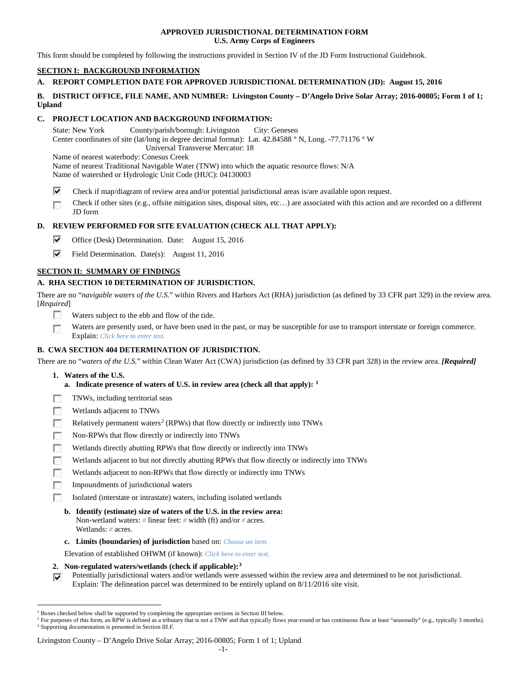## **APPROVED JURISDICTIONAL DETERMINATION FORM U.S. Army Corps of Engineers**

This form should be completed by following the instructions provided in Section IV of the JD Form Instructional Guidebook.

# **SECTION I: BACKGROUND INFORMATION**

# **A. REPORT COMPLETION DATE FOR APPROVED JURISDICTIONAL DETERMINATION (JD): August 15, 2016**

## **B. DISTRICT OFFICE, FILE NAME, AND NUMBER: Livingston County – D'Angelo Drive Solar Array; 2016-00805; Form 1 of 1; Upland**

## **C. PROJECT LOCATION AND BACKGROUND INFORMATION:**

State: New York County/parish/borough: Livingston City: Geneseo Center coordinates of site (lat/long in degree decimal format): Lat. 42.84588 ° N, Long. -77.71176 ° W Universal Transverse Mercator: 18 Name of nearest waterbody: Conesus Creek Name of nearest Traditional Navigable Water (TNW) into which the aquatic resource flows: N/A

Name of watershed or Hydrologic Unit Code (HUC): 04130003

- ⊽ Check if map/diagram of review area and/or potential jurisdictional areas is/are available upon request.
- Check if other sites (e.g., offsite mitigation sites, disposal sites, etc…) are associated with this action and are recorded on a different œ JD form

# **D. REVIEW PERFORMED FOR SITE EVALUATION (CHECK ALL THAT APPLY):**

- ⊽ Office (Desk) Determination. Date: August 15, 2016
- ⊽ Field Determination. Date(s): August 11, 2016

## **SECTION II: SUMMARY OF FINDINGS**

# **A. RHA SECTION 10 DETERMINATION OF JURISDICTION.**

There are no "*navigable waters of the U.S.*" within Rivers and Harbors Act (RHA) jurisdiction (as defined by 33 CFR part 329) in the review area. [*Required*]

- **IST** Waters subject to the ebb and flow of the tide.
- Waters are presently used, or have been used in the past, or may be susceptible for use to transport interstate or foreign commerce. Г Explain: *Click here to enter text.*

## **B. CWA SECTION 404 DETERMINATION OF JURISDICTION.**

There are no "*waters of the U.S.*" within Clean Water Act (CWA) jurisdiction (as defined by 33 CFR part 328) in the review area. *[Required]*

- **1. Waters of the U.S.**
	- **a. Indicate presence of waters of U.S. in review area (check all that apply): [1](#page-0-0)**
- п TNWs, including territorial seas
- Wetlands adjacent to TNWs п
- Relatively permanent waters<sup>[2](#page-0-1)</sup> (RPWs) that flow directly or indirectly into TNWs n
- п Non-RPWs that flow directly or indirectly into TNWs
- Wetlands directly abutting RPWs that flow directly or indirectly into TNWs п
- г Wetlands adjacent to but not directly abutting RPWs that flow directly or indirectly into TNWs
- г Wetlands adjacent to non-RPWs that flow directly or indirectly into TNWs
- п Impoundments of jurisdictional waters
- Isolated (interstate or intrastate) waters, including isolated wetlands n.
	- **b. Identify (estimate) size of waters of the U.S. in the review area:** Non-wetland waters: *#* linear feet: *#* width (ft) and/or *#* acres. Wetlands: *#* acres.
	- **c. Limits (boundaries) of jurisdiction** based on: *Choose an item.*

Elevation of established OHWM (if known): *Click here to enter text.*

- **2. Non-regulated waters/wetlands (check if applicable):[3](#page-0-2)**
- Potentially jurisdictional waters and/or wetlands were assessed within the review area and determined to be not jurisdictional. Explain: The delineation parcel was determined to be entirely upland on 8/11/2016 site visit.

<span id="page-0-0"></span><sup>&</sup>lt;sup>1</sup> Boxes checked below shall be supported by completing the appropriate sections in Section III below.

<span id="page-0-2"></span><span id="page-0-1"></span><sup>&</sup>lt;sup>2</sup> For purposes of this form, an RPW is defined as a tributary that is not a TNW and that typically flows year-round or has continuous flow at least "seasonally" (e.g., typically 3 months). <sup>3</sup> Supporting documentation is presented in Section III.F.

Livingston County – D'Angelo Drive Solar Array; 2016-00805; Form 1 of 1; Upland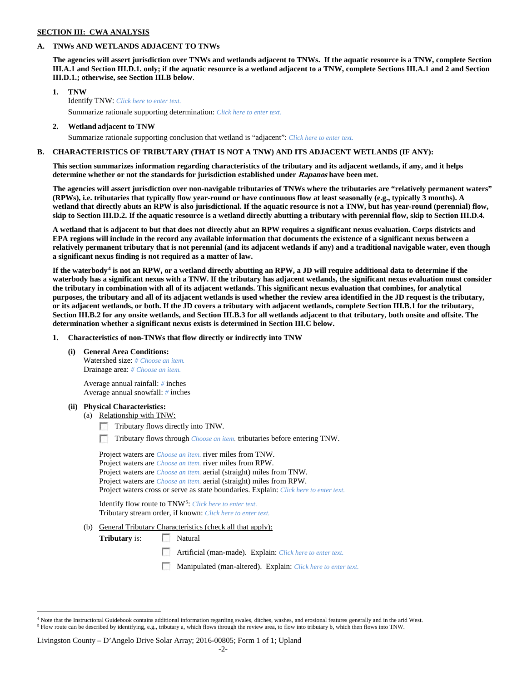### **SECTION III: CWA ANALYSIS**

## **A. TNWs AND WETLANDS ADJACENT TO TNWs**

**The agencies will assert jurisdiction over TNWs and wetlands adjacent to TNWs. If the aquatic resource is a TNW, complete Section III.A.1 and Section III.D.1. only; if the aquatic resource is a wetland adjacent to a TNW, complete Sections III.A.1 and 2 and Section III.D.1.; otherwise, see Section III.B below**.

- **1. TNW**  Identify TNW: *Click here to enter text.* Summarize rationale supporting determination: *Click here to enter text.*
- **2. Wetland adjacent to TNW**
	- Summarize rationale supporting conclusion that wetland is "adjacent": *Click here to enter text.*

### **B. CHARACTERISTICS OF TRIBUTARY (THAT IS NOT A TNW) AND ITS ADJACENT WETLANDS (IF ANY):**

**This section summarizes information regarding characteristics of the tributary and its adjacent wetlands, if any, and it helps determine whether or not the standards for jurisdiction established under Rapanos have been met.** 

**The agencies will assert jurisdiction over non-navigable tributaries of TNWs where the tributaries are "relatively permanent waters" (RPWs), i.e. tributaries that typically flow year-round or have continuous flow at least seasonally (e.g., typically 3 months). A wetland that directly abuts an RPW is also jurisdictional. If the aquatic resource is not a TNW, but has year-round (perennial) flow, skip to Section III.D.2. If the aquatic resource is a wetland directly abutting a tributary with perennial flow, skip to Section III.D.4.**

**A wetland that is adjacent to but that does not directly abut an RPW requires a significant nexus evaluation. Corps districts and EPA regions will include in the record any available information that documents the existence of a significant nexus between a relatively permanent tributary that is not perennial (and its adjacent wetlands if any) and a traditional navigable water, even though a significant nexus finding is not required as a matter of law.**

**If the waterbody[4](#page-1-0) is not an RPW, or a wetland directly abutting an RPW, a JD will require additional data to determine if the waterbody has a significant nexus with a TNW. If the tributary has adjacent wetlands, the significant nexus evaluation must consider the tributary in combination with all of its adjacent wetlands. This significant nexus evaluation that combines, for analytical purposes, the tributary and all of its adjacent wetlands is used whether the review area identified in the JD request is the tributary, or its adjacent wetlands, or both. If the JD covers a tributary with adjacent wetlands, complete Section III.B.1 for the tributary, Section III.B.2 for any onsite wetlands, and Section III.B.3 for all wetlands adjacent to that tributary, both onsite and offsite. The determination whether a significant nexus exists is determined in Section III.C below.**

**1. Characteristics of non-TNWs that flow directly or indirectly into TNW**

**(i) General Area Conditions:**

Watershed size: *# Choose an item.* Drainage area: *# Choose an item.*

Average annual rainfall: *#* inches Average annual snowfall: *#* inches

#### **(ii) Physical Characteristics:**

- (a) Relationship with TNW:
	- Tributary flows directly into TNW.

n Tributary flows through *Choose an item.* tributaries before entering TNW.

Project waters are *Choose an item.* river miles from TNW. Project waters are *Choose an item.* river miles from RPW. Project waters are *Choose an item.* aerial (straight) miles from TNW. Project waters are *Choose an item.* aerial (straight) miles from RPW. Project waters cross or serve as state boundaries. Explain: *Click here to enter text.*

Identify flow route to TNW[5:](#page-1-1) *Click here to enter text.* Tributary stream order, if known: *Click here to enter text.*

(b) General Tributary Characteristics (check all that apply):

**Tributary** is: Natural

- Artificial (man-made). Explain: *Click here to enter text.*
- Manipulated (man-altered). Explain: *Click here to enter text.*

#### Livingston County – D'Angelo Drive Solar Array; 2016-00805; Form 1 of 1; Upland

<span id="page-1-1"></span><span id="page-1-0"></span><sup>&</sup>lt;sup>4</sup> Note that the Instructional Guidebook contains additional information regarding swales, ditches, washes, and erosional features generally and in the arid West. <sup>5</sup> Flow route can be described by identifying, e.g., tributary a, which flows through the review area, to flow into tributary b, which then flows into TNW.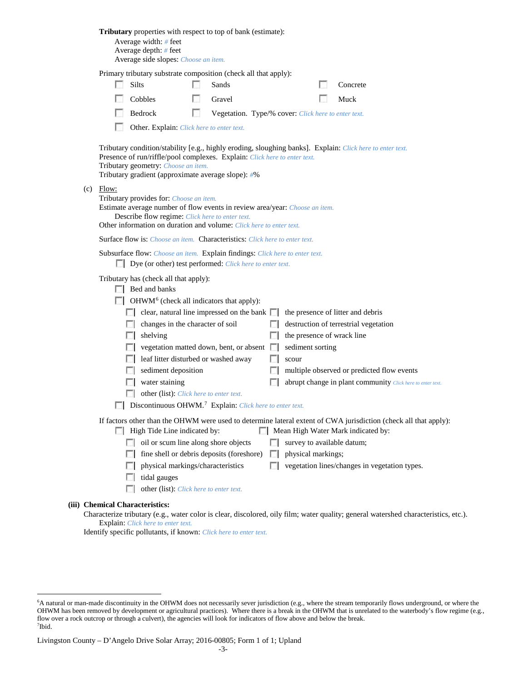|                                                                                                                                                                                                                                                                                                                                                                                                                                                                                                                                                        | <b>Tributary</b> properties with respect to top of bank (estimate):<br>Average width: $#$ feet<br>Average depth: $#$ feet<br>Average side slopes: Choose an item.                                                                                                                                                                                                                                                                                                                                                                                                                                                                                                                                                                                |  |  |                                                                                                                                                                                                                                                     |
|--------------------------------------------------------------------------------------------------------------------------------------------------------------------------------------------------------------------------------------------------------------------------------------------------------------------------------------------------------------------------------------------------------------------------------------------------------------------------------------------------------------------------------------------------------|--------------------------------------------------------------------------------------------------------------------------------------------------------------------------------------------------------------------------------------------------------------------------------------------------------------------------------------------------------------------------------------------------------------------------------------------------------------------------------------------------------------------------------------------------------------------------------------------------------------------------------------------------------------------------------------------------------------------------------------------------|--|--|-----------------------------------------------------------------------------------------------------------------------------------------------------------------------------------------------------------------------------------------------------|
|                                                                                                                                                                                                                                                                                                                                                                                                                                                                                                                                                        | Primary tributary substrate composition (check all that apply):<br>Silts<br>Sands<br>Concrete<br>Cobbles<br>Muck<br>Gravel<br>Bedrock<br>L.<br>Vegetation. Type/% cover: Click here to enter text.<br>Other. Explain: Click here to enter text.                                                                                                                                                                                                                                                                                                                                                                                                                                                                                                  |  |  |                                                                                                                                                                                                                                                     |
| Tributary condition/stability [e.g., highly eroding, sloughing banks]. Explain: Click here to enter text.<br>Presence of run/riffle/pool complexes. Explain: Click here to enter text.<br>Tributary geometry: Choose an item.<br>Tributary gradient (approximate average slope): #%<br>$(c)$ Flow:<br>Tributary provides for: Choose an item.<br>Estimate average number of flow events in review area/year: Choose an item.<br>Describe flow regime: Click here to enter text.<br>Other information on duration and volume: Click here to enter text. |                                                                                                                                                                                                                                                                                                                                                                                                                                                                                                                                                                                                                                                                                                                                                  |  |  |                                                                                                                                                                                                                                                     |
|                                                                                                                                                                                                                                                                                                                                                                                                                                                                                                                                                        |                                                                                                                                                                                                                                                                                                                                                                                                                                                                                                                                                                                                                                                                                                                                                  |  |  | <b>Surface flow is:</b> <i>Choose an item.</i> <b>Characteristics:</b> <i>Click here to enter text.</i><br>Subsurface flow: Choose an item. Explain findings: Click here to enter text.<br>Dye (or other) test performed: Click here to enter text. |
|                                                                                                                                                                                                                                                                                                                                                                                                                                                                                                                                                        | Tributary has (check all that apply):<br>$\Box$ Bed and banks<br>$\Box$ OHWM <sup>6</sup> (check all indicators that apply):<br>$\Box$ clear, natural line impressed on the bank $\Box$<br>the presence of litter and debris<br>changes in the character of soil<br>destruction of terrestrial vegetation<br>the presence of wrack line<br>shelving<br>L.<br>vegetation matted down, bent, or absent<br>sediment sorting<br>leaf litter disturbed or washed away<br>scour<br>sediment deposition<br>multiple observed or predicted flow events<br>water staining<br>abrupt change in plant community Click here to enter text.<br>other (list): Click here to enter text.<br>Discontinuous OHWM. <sup>7</sup> Explain: Click here to enter text. |  |  |                                                                                                                                                                                                                                                     |
|                                                                                                                                                                                                                                                                                                                                                                                                                                                                                                                                                        | If factors other than the OHWM were used to determine lateral extent of CWA jurisdiction (check all that apply):<br>Mean High Water Mark indicated by:<br>High Tide Line indicated by:<br>oil or scum line along shore objects<br>survey to available datum;<br>fine shell or debris deposits (foreshore)<br>physical markings;<br>FЛ<br>L.<br>physical markings/characteristics<br>vegetation lines/changes in vegetation types.<br>$\sim$<br>$\mathbb{R}$<br>tidal gauges<br>other (list): Click here to enter text.                                                                                                                                                                                                                           |  |  |                                                                                                                                                                                                                                                     |
|                                                                                                                                                                                                                                                                                                                                                                                                                                                                                                                                                        | <b>Chemical Characteristics:</b><br>Characterize tributary (e.g., water color is clear, discolored, oily film; water quality; general watershed characteristics, etc.).<br>Explain: Click here to enter text.                                                                                                                                                                                                                                                                                                                                                                                                                                                                                                                                    |  |  |                                                                                                                                                                                                                                                     |

Identify specific pollutants, if known: *Click here to enter text.*

**(iii)** 

<span id="page-2-0"></span> <sup>6</sup> <sup>6</sup>A natural or man-made discontinuity in the OHWM does not necessarily sever jurisdiction (e.g., where the stream temporarily flows underground, or where the OHWM has been removed by development or agricultural practices). Where there is a break in the OHWM that is unrelated to the waterbody's flow regime (e.g., flow over a rock outcrop or through a culvert), the agencies will look for indicators of flow above and below the break. 7 Ibid.

<span id="page-2-1"></span>Livingston County – D'Angelo Drive Solar Array; 2016-00805; Form 1 of 1; Upland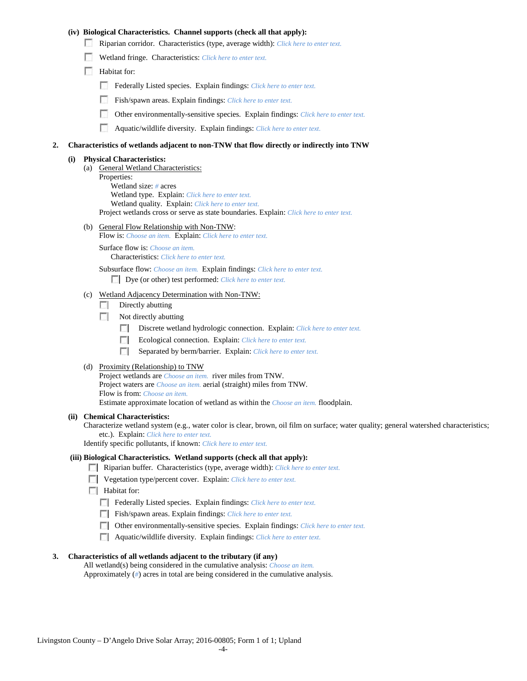## **(iv) Biological Characteristics. Channel supports (check all that apply):**

- Riparian corridor. Characteristics (type, average width): *Click here to enter text.*
- Wetland fringe. Characteristics: *Click here to enter text.*
- Habitat for:
	- Federally Listed species. Explain findings: *Click here to enter text.*
	- Fish/spawn areas. Explain findings: *Click here to enter text.*
	- Other environmentally-sensitive species. Explain findings: *Click here to enter text.* m.
	- n Aquatic/wildlife diversity. Explain findings: *Click here to enter text.*

### **2. Characteristics of wetlands adjacent to non-TNW that flow directly or indirectly into TNW**

#### **(i) Physical Characteristics:**

- (a) General Wetland Characteristics:
	- Properties:

Wetland size: *#* acres Wetland type. Explain: *Click here to enter text.*

Wetland quality. Explain: *Click here to enter text.*

Project wetlands cross or serve as state boundaries. Explain: *Click here to enter text.*

(b) General Flow Relationship with Non-TNW: Flow is: *Choose an item.* Explain: *Click here to enter text.*

Surface flow is: *Choose an item.* Characteristics: *Click here to enter text.*

Subsurface flow: *Choose an item.* Explain findings: *Click here to enter text.*

Dye (or other) test performed: *Click here to enter text.*

### (c) Wetland Adjacency Determination with Non-TNW:

- $\Box$  Directly abutting
- Not directly abutting
	- **1999** Discrete wetland hydrologic connection. Explain: *Click here to enter text.*
	- Ecological connection. Explain: *Click here to enter text.* **The Company**
	- $\sim$ Separated by berm/barrier. Explain: *Click here to enter text.*
- (d) Proximity (Relationship) to TNW

Project wetlands are *Choose an item.* river miles from TNW. Project waters are *Choose an item.* aerial (straight) miles from TNW. Flow is from: *Choose an item.* Estimate approximate location of wetland as within the *Choose an item.* floodplain.

### **(ii) Chemical Characteristics:**

Characterize wetland system (e.g., water color is clear, brown, oil film on surface; water quality; general watershed characteristics; etc.). Explain: *Click here to enter text.*

Identify specific pollutants, if known: *Click here to enter text.*

### **(iii) Biological Characteristics. Wetland supports (check all that apply):**

- Riparian buffer. Characteristics (type, average width): *Click here to enter text.*
- Vegetation type/percent cover. Explain: *Click here to enter text.*
- $\Box$  Habitat for:
	- Federally Listed species. Explain findings: *Click here to enter text*.
	- Fish/spawn areas. Explain findings: *Click here to enter text*.
	- Other environmentally-sensitive species. Explain findings: *Click here to enter text.*
	- Aquatic/wildlife diversity. Explain findings: *Click here to enter text.*

#### **3. Characteristics of all wetlands adjacent to the tributary (if any)**

All wetland(s) being considered in the cumulative analysis: *Choose an item.* Approximately (*#*) acres in total are being considered in the cumulative analysis.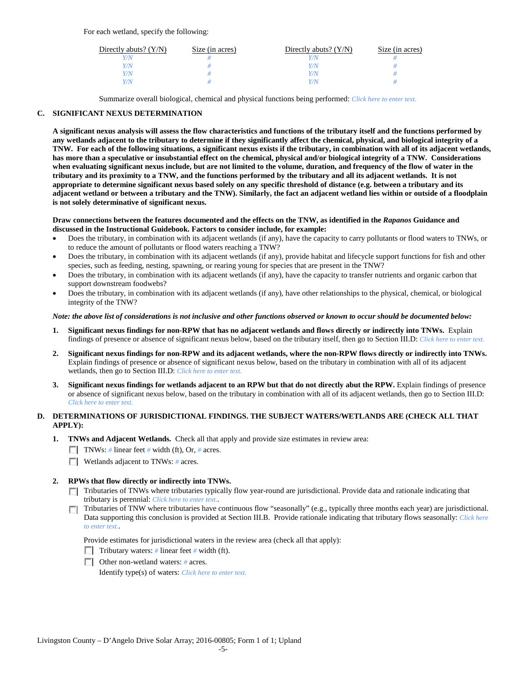For each wetland, specify the following:

| Directly abuts? $(Y/N)$ | Size (in acres) | Directly abuts? $(Y/N)$ | Size (in acres) |
|-------------------------|-----------------|-------------------------|-----------------|
|                         |                 |                         |                 |
| V/N                     |                 | Y/N                     |                 |
| V/N                     |                 | Y/N                     |                 |
|                         |                 | 77N                     |                 |

Summarize overall biological, chemical and physical functions being performed: *Click here to enter text.*

## **C. SIGNIFICANT NEXUS DETERMINATION**

**A significant nexus analysis will assess the flow characteristics and functions of the tributary itself and the functions performed by any wetlands adjacent to the tributary to determine if they significantly affect the chemical, physical, and biological integrity of a TNW. For each of the following situations, a significant nexus exists if the tributary, in combination with all of its adjacent wetlands, has more than a speculative or insubstantial effect on the chemical, physical and/or biological integrity of a TNW. Considerations when evaluating significant nexus include, but are not limited to the volume, duration, and frequency of the flow of water in the tributary and its proximity to a TNW, and the functions performed by the tributary and all its adjacent wetlands. It is not appropriate to determine significant nexus based solely on any specific threshold of distance (e.g. between a tributary and its adjacent wetland or between a tributary and the TNW). Similarly, the fact an adjacent wetland lies within or outside of a floodplain is not solely determinative of significant nexus.** 

### **Draw connections between the features documented and the effects on the TNW, as identified in the** *Rapanos* **Guidance and discussed in the Instructional Guidebook. Factors to consider include, for example:**

- Does the tributary, in combination with its adjacent wetlands (if any), have the capacity to carry pollutants or flood waters to TNWs, or to reduce the amount of pollutants or flood waters reaching a TNW?
- Does the tributary, in combination with its adjacent wetlands (if any), provide habitat and lifecycle support functions for fish and other species, such as feeding, nesting, spawning, or rearing young for species that are present in the TNW?
- Does the tributary, in combination with its adjacent wetlands (if any), have the capacity to transfer nutrients and organic carbon that support downstream foodwebs?
- Does the tributary, in combination with its adjacent wetlands (if any), have other relationships to the physical, chemical, or biological integrity of the TNW?

### *Note: the above list of considerations is not inclusive and other functions observed or known to occur should be documented below:*

- **1. Significant nexus findings for non-RPW that has no adjacent wetlands and flows directly or indirectly into TNWs.** Explain findings of presence or absence of significant nexus below, based on the tributary itself, then go to Section III.D: *Click here to enter text.*
- **2. Significant nexus findings for non-RPW and its adjacent wetlands, where the non-RPW flows directly or indirectly into TNWs.**  Explain findings of presence or absence of significant nexus below, based on the tributary in combination with all of its adjacent wetlands, then go to Section III.D: *Click here to enter text.*
- **3. Significant nexus findings for wetlands adjacent to an RPW but that do not directly abut the RPW.** Explain findings of presence or absence of significant nexus below, based on the tributary in combination with all of its adjacent wetlands, then go to Section III.D: *Click here to enter text.*

# **D. DETERMINATIONS OF JURISDICTIONAL FINDINGS. THE SUBJECT WATERS/WETLANDS ARE (CHECK ALL THAT APPLY):**

- **1. TNWs and Adjacent Wetlands.** Check all that apply and provide size estimates in review area:
	- TNWs: *#* linear feet *#* width (ft), Or, *#* acres.
	- **Wetlands adjacent to TNWs:** # acres.

## **2. RPWs that flow directly or indirectly into TNWs.**

- Tributaries of TNWs where tributaries typically flow year-round are jurisdictional. Provide data and rationale indicating that tributary is perennial: *Click here to enter text.*.
- Tributaries of TNW where tributaries have continuous flow "seasonally" (e.g., typically three months each year) are jurisdictional.  $\mathcal{L}$ Data supporting this conclusion is provided at Section III.B. Provide rationale indicating that tributary flows seasonally: *Click here to enter text.*.

Provide estimates for jurisdictional waters in the review area (check all that apply):

- Tributary waters: # linear feet # width (ft).
- Other non-wetland waters: *#* acres.

Identify type(s) of waters: *Click here to enter text.*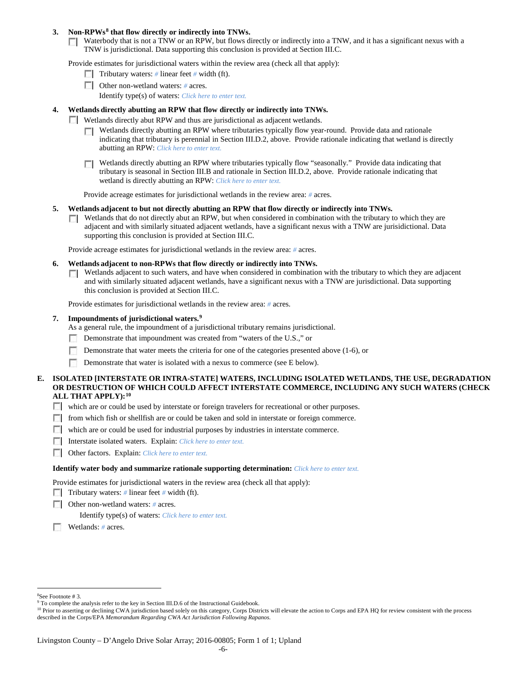### **3. Non-RPWs[8](#page-5-0) that flow directly or indirectly into TNWs.**

Waterbody that is not a TNW or an RPW, but flows directly or indirectly into a TNW, and it has a significant nexus with a TNW is jurisdictional. Data supporting this conclusion is provided at Section III.C.

Provide estimates for jurisdictional waters within the review area (check all that apply):

- **Tributary waters:** # linear feet # width (ft).
- Other non-wetland waters: # acres. Identify type(s) of waters: *Click here to enter text.*
- **4. Wetlands directly abutting an RPW that flow directly or indirectly into TNWs.**
	- **Wetlands directly abut RPW and thus are jurisdictional as adjacent wetlands.** 
		- $\Box$  Wetlands directly abutting an RPW where tributaries typically flow year-round. Provide data and rationale indicating that tributary is perennial in Section III.D.2, above. Provide rationale indicating that wetland is directly abutting an RPW: *Click here to enter text.*
		- Wetlands directly abutting an RPW where tributaries typically flow "seasonally." Provide data indicating that tributary is seasonal in Section III.B and rationale in Section III.D.2, above. Provide rationale indicating that wetland is directly abutting an RPW: *Click here to enter text.*

Provide acreage estimates for jurisdictional wetlands in the review area: *#* acres.

- **5. Wetlands adjacent to but not directly abutting an RPW that flow directly or indirectly into TNWs.**
	- $\Box$  Wetlands that do not directly abut an RPW, but when considered in combination with the tributary to which they are adjacent and with similarly situated adjacent wetlands, have a significant nexus with a TNW are jurisidictional. Data supporting this conclusion is provided at Section III.C.

Provide acreage estimates for jurisdictional wetlands in the review area: *#* acres.

- **6. Wetlands adjacent to non-RPWs that flow directly or indirectly into TNWs.** 
	- Wetlands adjacent to such waters, and have when considered in combination with the tributary to which they are adjacent **TO** and with similarly situated adjacent wetlands, have a significant nexus with a TNW are jurisdictional. Data supporting this conclusion is provided at Section III.C.

Provide estimates for jurisdictional wetlands in the review area: *#* acres.

## **7. Impoundments of jurisdictional waters. [9](#page-5-1)**

As a general rule, the impoundment of a jurisdictional tributary remains jurisdictional.

- Demonstrate that impoundment was created from "waters of the U.S.," or
- Demonstrate that water meets the criteria for one of the categories presented above (1-6), or
- n Demonstrate that water is isolated with a nexus to commerce (see E below).
- **E. ISOLATED [INTERSTATE OR INTRA-STATE] WATERS, INCLUDING ISOLATED WETLANDS, THE USE, DEGRADATION OR DESTRUCTION OF WHICH COULD AFFECT INTERSTATE COMMERCE, INCLUDING ANY SUCH WATERS (CHECK ALL THAT APPLY):[10](#page-5-2)**
	- which are or could be used by interstate or foreign travelers for recreational or other purposes.
	- from which fish or shellfish are or could be taken and sold in interstate or foreign commerce.
	- which are or could be used for industrial purposes by industries in interstate commerce.
	- Interstate isolated waters.Explain: *Click here to enter text.*
	- Other factors.Explain: *Click here to enter text.*

#### **Identify water body and summarize rationale supporting determination:** *Click here to enter text.*

Provide estimates for jurisdictional waters in the review area (check all that apply):

- Tributary waters: # linear feet # width (ft).
- Other non-wetland waters: *#* acres.

Identify type(s) of waters: *Click here to enter text.*

Wetlands: *#* acres.

 $\frac{1}{8}$ 

<span id="page-5-1"></span><span id="page-5-0"></span><sup>&</sup>lt;sup>8</sup>See Footnote # 3.<br><sup>9</sup> To complete the analysis refer to the key in Section III.D.6 of the Instructional Guidebook.

<span id="page-5-2"></span><sup>&</sup>lt;sup>10</sup> Prior to asserting or declining CWA jurisdiction based solely on this category, Corps Districts will elevate the action to Corps and EPA HQ for review consistent with the process described in the Corps/EPA *Memorandum Regarding CWA Act Jurisdiction Following Rapanos.*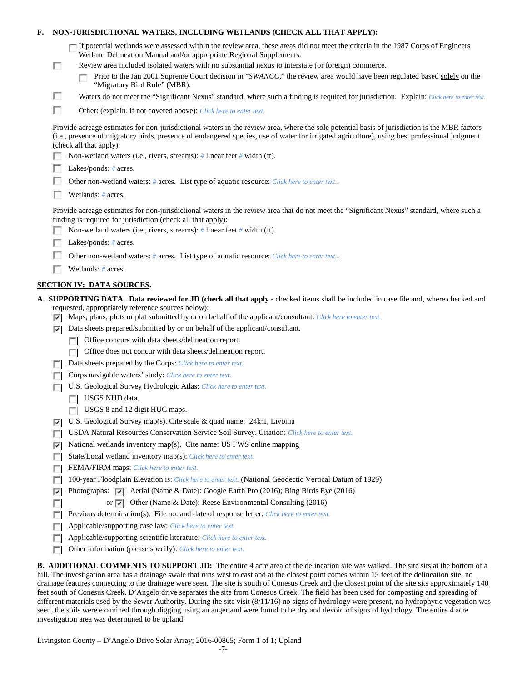| F. |                                                                                            | NON-JURISDICTIONAL WATERS, INCLUDING WETLANDS (CHECK ALL THAT APPLY):                                                                                                                                                                                                                                                     |
|----|--------------------------------------------------------------------------------------------|---------------------------------------------------------------------------------------------------------------------------------------------------------------------------------------------------------------------------------------------------------------------------------------------------------------------------|
|    | $\mathbb{R}^2$                                                                             | If potential wetlands were assessed within the review area, these areas did not meet the criteria in the 1987 Corps of Engineers<br>Wetland Delineation Manual and/or appropriate Regional Supplements.<br>Review area included isolated waters with no substantial nexus to interstate (or foreign) commerce.            |
|    |                                                                                            | Prior to the Jan 2001 Supreme Court decision in "SWANCC," the review area would have been regulated based solely on the<br>"Migratory Bird Rule" (MBR).                                                                                                                                                                   |
|    | ш                                                                                          | Waters do not meet the "Significant Nexus" standard, where such a finding is required for jurisdiction. Explain: Click here to enter text.                                                                                                                                                                                |
|    | г                                                                                          | Other: (explain, if not covered above): Click here to enter text.                                                                                                                                                                                                                                                         |
|    |                                                                                            | Provide acreage estimates for non-jurisdictional waters in the review area, where the sole potential basis of jurisdiction is the MBR factors<br>(i.e., presence of migratory birds, presence of endangered species, use of water for irrigated agriculture), using best professional judgment<br>(check all that apply): |
|    |                                                                                            | Non-wetland waters (i.e., rivers, streams): $\#$ linear feet $\#$ width (ft).                                                                                                                                                                                                                                             |
|    |                                                                                            | Lakes/ponds: # acres.                                                                                                                                                                                                                                                                                                     |
|    | Other non-wetland waters: # acres. List type of aquatic resource: Click here to enter text |                                                                                                                                                                                                                                                                                                                           |
|    |                                                                                            | Wetlands: $#$ acres.                                                                                                                                                                                                                                                                                                      |
|    |                                                                                            | Provide acreage estimates for non-jurisdictional waters in the review area that do not meet the "Significant Nexus" standard, where such a<br>finding is required for jurisdiction (check all that apply):                                                                                                                |
|    |                                                                                            | Non-wetland waters (i.e., rivers, streams): $\#$ linear feet $\#$ width (ft).                                                                                                                                                                                                                                             |
|    |                                                                                            | Lakes/ponds: $# \, \text{acres.}$                                                                                                                                                                                                                                                                                         |
|    |                                                                                            | Other non-wetland waters: # acres. List type of aquatic resource: Click here to enter text                                                                                                                                                                                                                                |
|    |                                                                                            | Wetlands: # acres.                                                                                                                                                                                                                                                                                                        |
|    |                                                                                            | <b>SECTION IV: DATA SOURCES.</b>                                                                                                                                                                                                                                                                                          |
|    |                                                                                            | A. SUPPORTING DATA. Data reviewed for JD (check all that apply - checked items shall be included in case file and, where checked and                                                                                                                                                                                      |
|    | ☞                                                                                          | requested, appropriately reference sources below):<br>Maps, plans, plots or plat submitted by or on behalf of the applicant/consultant: Click here to enter text.                                                                                                                                                         |
|    | ⊽                                                                                          | Data sheets prepared/submitted by or on behalf of the applicant/consultant.                                                                                                                                                                                                                                               |
|    |                                                                                            | Office concurs with data sheets/delineation report.                                                                                                                                                                                                                                                                       |
|    |                                                                                            | Office does not concur with data sheets/delineation report.<br>п                                                                                                                                                                                                                                                          |
|    |                                                                                            | Data sheets prepared by the Corps: Click here to enter text.                                                                                                                                                                                                                                                              |
|    |                                                                                            | Corps navigable waters' study: Click here to enter text.                                                                                                                                                                                                                                                                  |
|    |                                                                                            | U.S. Geological Survey Hydrologic Atlas: Click here to enter text.                                                                                                                                                                                                                                                        |
|    |                                                                                            | USGS NHD data.                                                                                                                                                                                                                                                                                                            |
|    |                                                                                            | USGS 8 and 12 digit HUC maps.                                                                                                                                                                                                                                                                                             |
|    | ⊽                                                                                          | U.S. Geological Survey map(s). Cite scale $&$ quad name: 24k:1, Livonia                                                                                                                                                                                                                                                   |
|    |                                                                                            | USDA Natural Resources Conservation Service Soil Survey. Citation: Click here to enter text.                                                                                                                                                                                                                              |
|    | ⊽                                                                                          | National wetlands inventory map(s). Cite name: US FWS online mapping                                                                                                                                                                                                                                                      |
|    | п                                                                                          | State/Local wetland inventory map(s): Click here to enter text.                                                                                                                                                                                                                                                           |
|    | г                                                                                          | FEMA/FIRM maps: Click here to enter text.                                                                                                                                                                                                                                                                                 |
|    | г                                                                                          | 100-year Floodplain Elevation is: Click here to enter text. (National Geodectic Vertical Datum of 1929)                                                                                                                                                                                                                   |
|    | ⊽                                                                                          | Photographs: $\boxed{\checkmark}$ Aerial (Name & Date): Google Earth Pro (2016); Bing Birds Eye (2016)                                                                                                                                                                                                                    |
|    |                                                                                            | or $\triangledown$ Other (Name & Date): Reese Environmental Consulting (2016)                                                                                                                                                                                                                                             |
|    | L.                                                                                         | Previous determination(s). File no. and date of response letter: Click here to enter text.                                                                                                                                                                                                                                |
|    | г                                                                                          | Applicable/supporting case law: Click here to enter text.                                                                                                                                                                                                                                                                 |
|    | п                                                                                          | Applicable/supporting scientific literature: Click here to enter text.                                                                                                                                                                                                                                                    |
|    | г                                                                                          | Other information (please specify): Click here to enter text.                                                                                                                                                                                                                                                             |
|    |                                                                                            | <b>B</b> ADDITIONAL COMMENTS TO SUPPORT ID: The entire 4 acre area of the delineation site was walked. The site sits at the bottom of a                                                                                                                                                                                   |

**L COMMENTS TO SUPPORT JD:** The entire 4 acre area of the delineation site was walked. The site sits at the bottom of a hill. The investigation area has a drainage swale that runs west to east and at the closest point comes within 15 feet of the delineation site, no drainage features connecting to the drainage were seen. The site is south of Conesus Creek and the closest point of the site sits approximately 140 feet south of Conesus Creek. D'Angelo drive separates the site from Conesus Creek. The field has been used for composting and spreading of different materials used by the Sewer Authority. During the site visit (8/11/16) no signs of hydrology were present, no hydrophytic vegetation was seen, the soils were examined through digging using an auger and were found to be dry and devoid of signs of hydrology. The entire 4 acre investigation area was determined to be upland.

Livingston County – D'Angelo Drive Solar Array; 2016-00805; Form 1 of 1; Upland